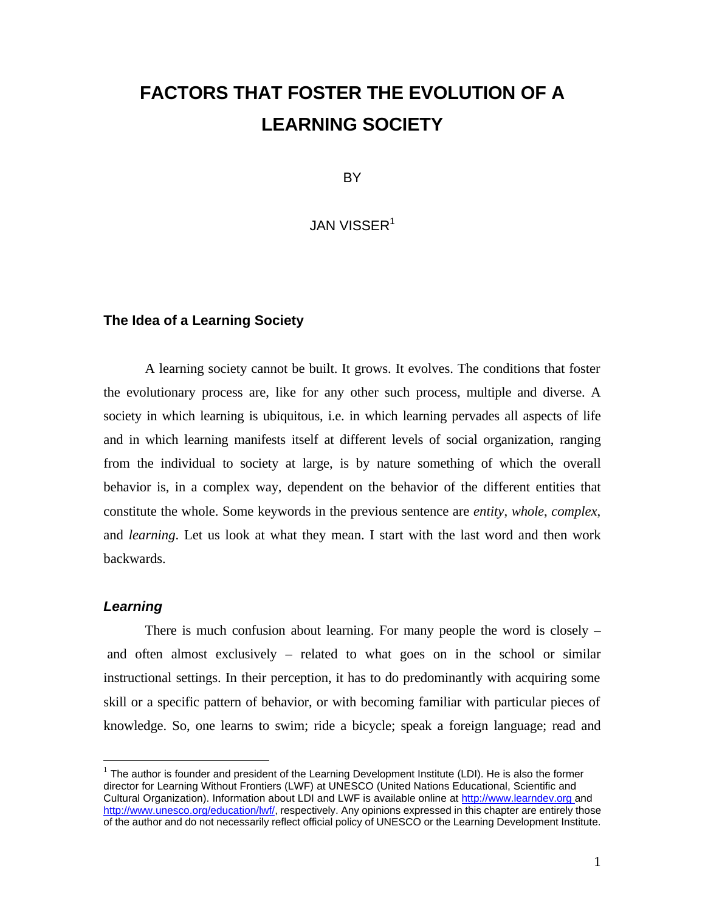# **FACTORS THAT FOSTER THE EVOLUTION OF A LEARNING SOCIETY**

BY

JAN VISSER<sup>1</sup>

### **The Idea of a Learning Society**

A learning society cannot be built. It grows. It evolves. The conditions that foster the evolutionary process are, like for any other such process, multiple and diverse. A society in which learning is ubiquitous, i.e. in which learning pervades all aspects of life and in which learning manifests itself at different levels of social organization, ranging from the individual to society at large, is by nature something of which the overall behavior is, in a complex way, dependent on the behavior of the different entities that constitute the whole. Some keywords in the previous sentence are *entity*, *whole*, *complex*, and *learning*. Let us look at what they mean. I start with the last word and then work backwards.

## *Learning*

There is much confusion about learning. For many people the word is closely – and often almost exclusively – related to what goes on in the school or similar instructional settings. In their perception, it has to do predominantly with acquiring some skill or a specific pattern of behavior, or with becoming familiar with particular pieces of knowledge. So, one learns to swim; ride a bicycle; speak a foreign language; read and

 1 The author is founder and president of the Learning Development Institute (LDI). He is also the former director for Learning Without Frontiers (LWF) at UNESCO (United Nations Educational, Scientific and Cultural Organization). Information about LDI and LWF is available online at http://www.learndev.org and http://www.unesco.org/education/lwf/, respectively. Any opinions expressed in this chapter are entirely those of the author and do not necessarily reflect official policy of UNESCO or the Learning Development Institute.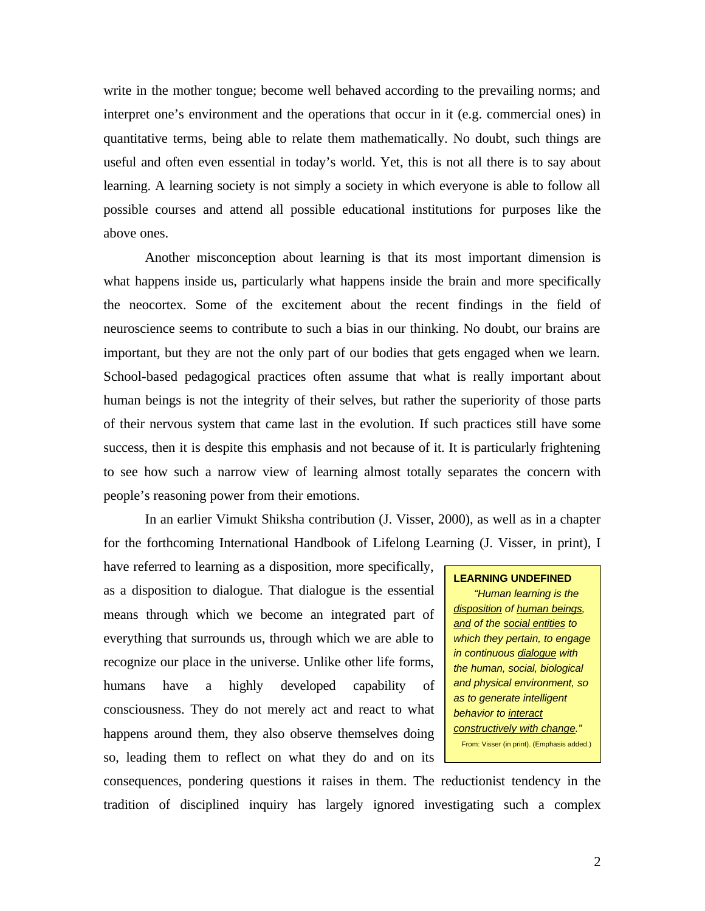write in the mother tongue; become well behaved according to the prevailing norms; and interpret one's environment and the operations that occur in it (e.g. commercial ones) in quantitative terms, being able to relate them mathematically. No doubt, such things are useful and often even essential in today's world. Yet, this is not all there is to say about learning. A learning society is not simply a society in which everyone is able to follow all possible courses and attend all possible educational institutions for purposes like the above ones.

Another misconception about learning is that its most important dimension is what happens inside us, particularly what happens inside the brain and more specifically the neocortex. Some of the excitement about the recent findings in the field of neuroscience seems to contribute to such a bias in our thinking. No doubt, our brains are important, but they are not the only part of our bodies that gets engaged when we learn. School-based pedagogical practices often assume that what is really important about human beings is not the integrity of their selves, but rather the superiority of those parts of their nervous system that came last in the evolution. If such practices still have some success, then it is despite this emphasis and not because of it. It is particularly frightening to see how such a narrow view of learning almost totally separates the concern with people's reasoning power from their emotions.

In an earlier Vimukt Shiksha contribution (J. Visser, 2000), as well as in a chapter for the forthcoming International Handbook of Lifelong Learning (J. Visser, in print), I

have referred to learning as a disposition, more specifically, as a disposition to dialogue. That dialogue is the essential means through which we become an integrated part of everything that surrounds us, through which we are able to recognize our place in the universe. Unlike other life forms, humans have a highly developed capability of consciousness. They do not merely act and react to what happens around them, they also observe themselves doing so, leading them to reflect on what they do and on its

#### **LEARNING UNDEFINED**

*"Human learning is the disposition of human beings, and of the social entities to which they pertain, to engage in continuous dialogue with the human, social, biological and physical environment, so as to generate intelligent behavior to interact constructively with change."* From: Visser (in print). (Emphasis added.)

consequences, pondering questions it raises in them. The reductionist tendency in the tradition of disciplined inquiry has largely ignored investigating such a complex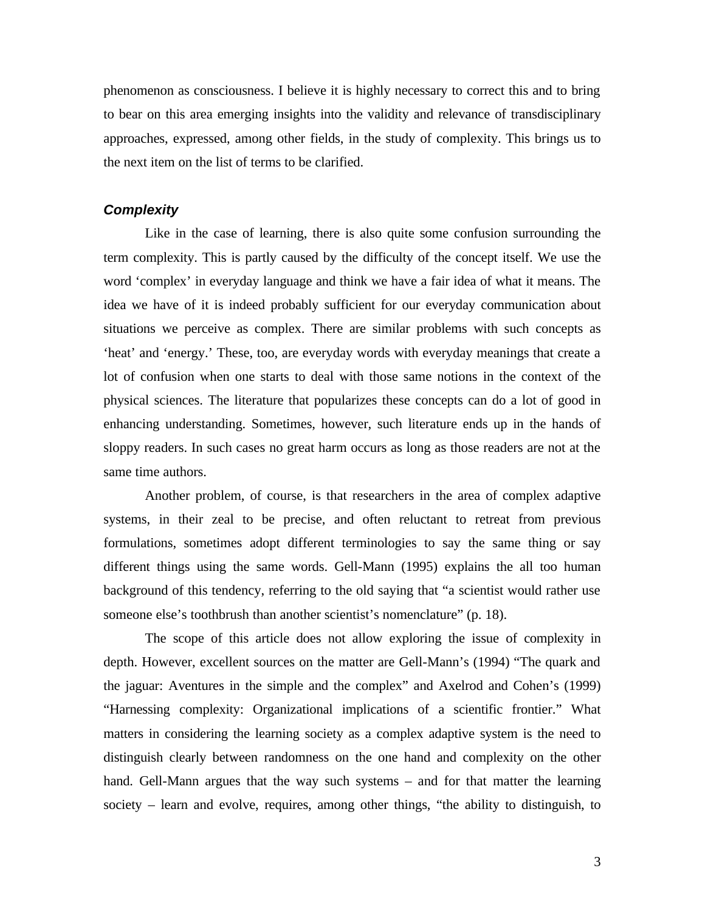phenomenon as consciousness. I believe it is highly necessary to correct this and to bring to bear on this area emerging insights into the validity and relevance of transdisciplinary approaches, expressed, among other fields, in the study of complexity. This brings us to the next item on the list of terms to be clarified.

# *Complexity*

Like in the case of learning, there is also quite some confusion surrounding the term complexity. This is partly caused by the difficulty of the concept itself. We use the word 'complex' in everyday language and think we have a fair idea of what it means. The idea we have of it is indeed probably sufficient for our everyday communication about situations we perceive as complex. There are similar problems with such concepts as 'heat' and 'energy.' These, too, are everyday words with everyday meanings that create a lot of confusion when one starts to deal with those same notions in the context of the physical sciences. The literature that popularizes these concepts can do a lot of good in enhancing understanding. Sometimes, however, such literature ends up in the hands of sloppy readers. In such cases no great harm occurs as long as those readers are not at the same time authors.

Another problem, of course, is that researchers in the area of complex adaptive systems, in their zeal to be precise, and often reluctant to retreat from previous formulations, sometimes adopt different terminologies to say the same thing or say different things using the same words. Gell-Mann (1995) explains the all too human background of this tendency, referring to the old saying that "a scientist would rather use someone else's toothbrush than another scientist's nomenclature" (p. 18).

The scope of this article does not allow exploring the issue of complexity in depth. However, excellent sources on the matter are Gell-Mann's (1994) "The quark and the jaguar: Aventures in the simple and the complex" and Axelrod and Cohen's (1999) "Harnessing complexity: Organizational implications of a scientific frontier." What matters in considering the learning society as a complex adaptive system is the need to distinguish clearly between randomness on the one hand and complexity on the other hand. Gell-Mann argues that the way such systems – and for that matter the learning society – learn and evolve, requires, among other things, "the ability to distinguish, to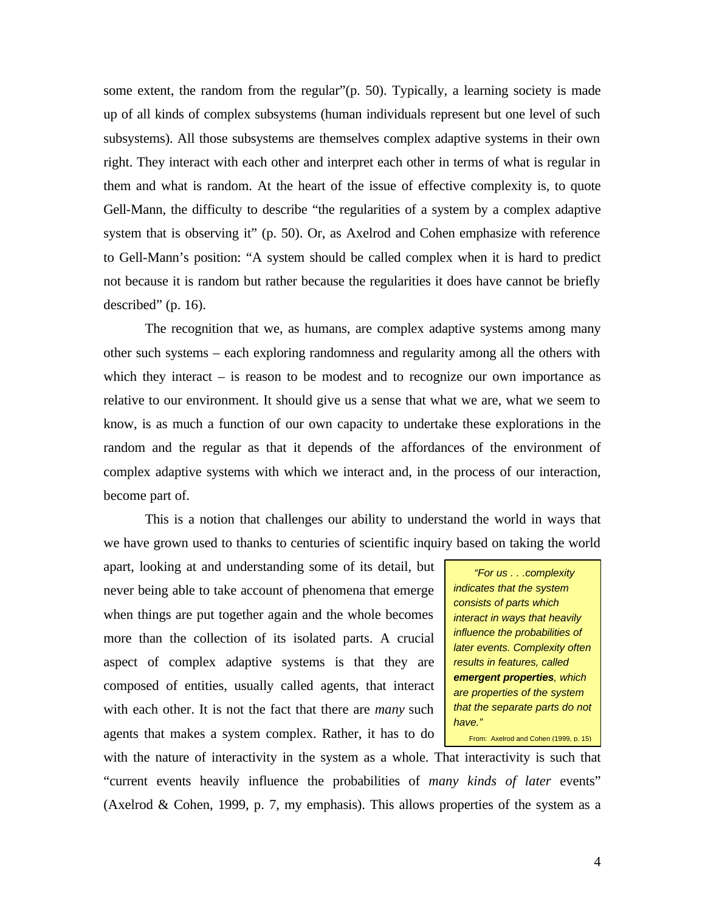some extent, the random from the regular" $(p, 50)$ . Typically, a learning society is made up of all kinds of complex subsystems (human individuals represent but one level of such subsystems). All those subsystems are themselves complex adaptive systems in their own right. They interact with each other and interpret each other in terms of what is regular in them and what is random. At the heart of the issue of effective complexity is, to quote Gell-Mann, the difficulty to describe "the regularities of a system by a complex adaptive system that is observing it" (p. 50). Or, as Axelrod and Cohen emphasize with reference to Gell-Mann's position: "A system should be called complex when it is hard to predict not because it is random but rather because the regularities it does have cannot be briefly described" (p. 16).

The recognition that we, as humans, are complex adaptive systems among many other such systems – each exploring randomness and regularity among all the others with which they interact – is reason to be modest and to recognize our own importance as relative to our environment. It should give us a sense that what we are, what we seem to know, is as much a function of our own capacity to undertake these explorations in the random and the regular as that it depends of the affordances of the environment of complex adaptive systems with which we interact and, in the process of our interaction, become part of.

This is a notion that challenges our ability to understand the world in ways that we have grown used to thanks to centuries of scientific inquiry based on taking the world

apart, looking at and understanding some of its detail, but never being able to take account of phenomena that emerge when things are put together again and the whole becomes more than the collection of its isolated parts. A crucial aspect of complex adaptive systems is that they are composed of entities, usually called agents, that interact with each other. It is not the fact that there are *many* such agents that makes a system complex. Rather, it has to do

*"For us . . .complexity indicates that the system consists of parts which interact in ways that heavily influence the probabilities of later events. Complexity often results in features, called emergent properties, which are properties of the system that the separate parts do not have."* From: Axelrod and Cohen (1999, p. 15)

with the nature of interactivity in the system as a whole. That interactivity is such that "current events heavily influence the probabilities of *many kinds of later* events" (Axelrod & Cohen, 1999, p. 7, my emphasis). This allows properties of the system as a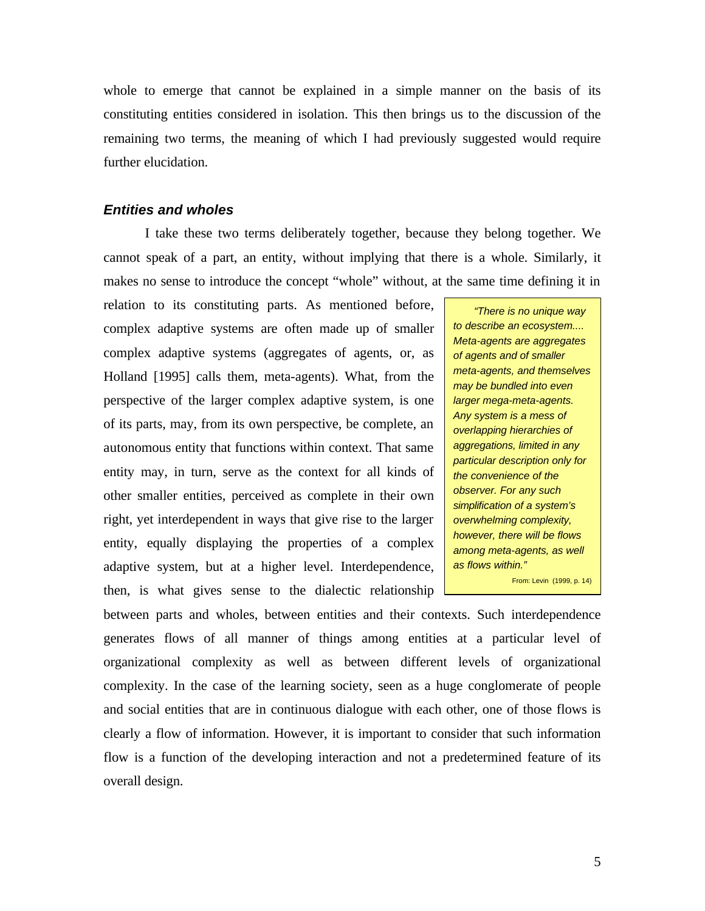whole to emerge that cannot be explained in a simple manner on the basis of its constituting entities considered in isolation. This then brings us to the discussion of the remaining two terms, the meaning of which I had previously suggested would require further elucidation.

# *Entities and wholes*

I take these two terms deliberately together, because they belong together. We cannot speak of a part, an entity, without implying that there is a whole. Similarly, it makes no sense to introduce the concept "whole" without, at the same time defining it in

relation to its constituting parts. As mentioned before, complex adaptive systems are often made up of smaller complex adaptive systems (aggregates of agents, or, as Holland [1995] calls them, meta-agents). What, from the perspective of the larger complex adaptive system, is one of its parts, may, from its own perspective, be complete, an autonomous entity that functions within context. That same entity may, in turn, serve as the context for all kinds of other smaller entities, perceived as complete in their own right, yet interdependent in ways that give rise to the larger entity, equally displaying the properties of a complex adaptive system, but at a higher level. Interdependence, then, is what gives sense to the dialectic relationship

*"There is no unique way to describe an ecosystem.... Meta-agents are aggregates of agents and of smaller meta-agents, and themselves may be bundled into even larger mega-meta-agents. Any system is a mess of overlapping hierarchies of aggregations, limited in any particular description only for the convenience of the observer. For any such simplification of a system's overwhelming complexity, however, there will be flows among meta-agents, as well as flows within."* From: Levin (1999, p. 14)

between parts and wholes, between entities and their contexts. Such interdependence generates flows of all manner of things among entities at a particular level of organizational complexity as well as between different levels of organizational complexity. In the case of the learning society, seen as a huge conglomerate of people and social entities that are in continuous dialogue with each other, one of those flows is clearly a flow of information. However, it is important to consider that such information flow is a function of the developing interaction and not a predetermined feature of its overall design.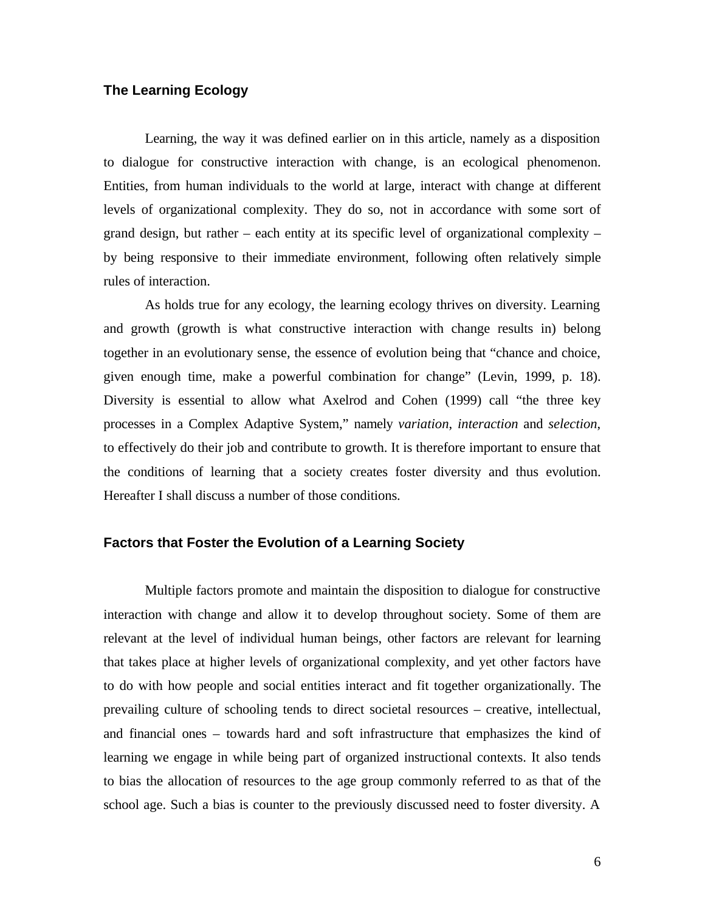# **The Learning Ecology**

Learning, the way it was defined earlier on in this article, namely as a disposition to dialogue for constructive interaction with change, is an ecological phenomenon. Entities, from human individuals to the world at large, interact with change at different levels of organizational complexity. They do so, not in accordance with some sort of grand design, but rather – each entity at its specific level of organizational complexity – by being responsive to their immediate environment, following often relatively simple rules of interaction.

As holds true for any ecology, the learning ecology thrives on diversity. Learning and growth (growth is what constructive interaction with change results in) belong together in an evolutionary sense, the essence of evolution being that "chance and choice, given enough time, make a powerful combination for change" (Levin, 1999, p. 18). Diversity is essential to allow what Axelrod and Cohen (1999) call "the three key processes in a Complex Adaptive System," namely *variation*, *interaction* and *selection*, to effectively do their job and contribute to growth. It is therefore important to ensure that the conditions of learning that a society creates foster diversity and thus evolution. Hereafter I shall discuss a number of those conditions.

## **Factors that Foster the Evolution of a Learning Society**

Multiple factors promote and maintain the disposition to dialogue for constructive interaction with change and allow it to develop throughout society. Some of them are relevant at the level of individual human beings, other factors are relevant for learning that takes place at higher levels of organizational complexity, and yet other factors have to do with how people and social entities interact and fit together organizationally. The prevailing culture of schooling tends to direct societal resources – creative, intellectual, and financial ones – towards hard and soft infrastructure that emphasizes the kind of learning we engage in while being part of organized instructional contexts. It also tends to bias the allocation of resources to the age group commonly referred to as that of the school age. Such a bias is counter to the previously discussed need to foster diversity. A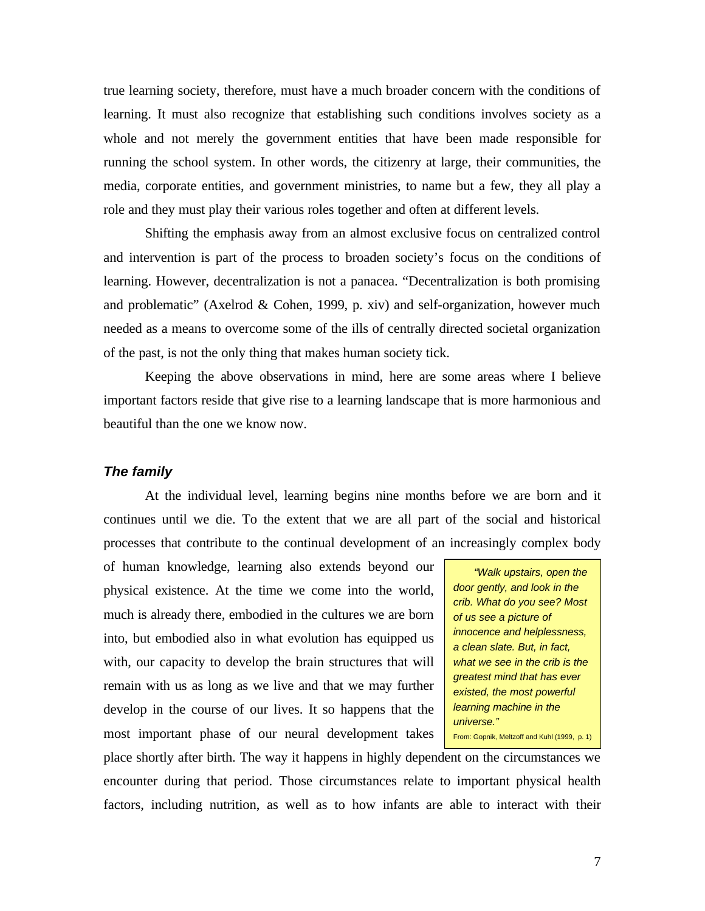true learning society, therefore, must have a much broader concern with the conditions of learning. It must also recognize that establishing such conditions involves society as a whole and not merely the government entities that have been made responsible for running the school system. In other words, the citizenry at large, their communities, the media, corporate entities, and government ministries, to name but a few, they all play a role and they must play their various roles together and often at different levels.

Shifting the emphasis away from an almost exclusive focus on centralized control and intervention is part of the process to broaden society's focus on the conditions of learning. However, decentralization is not a panacea. "Decentralization is both promising and problematic" (Axelrod & Cohen, 1999, p. xiv) and self-organization, however much needed as a means to overcome some of the ills of centrally directed societal organization of the past, is not the only thing that makes human society tick.

Keeping the above observations in mind, here are some areas where I believe important factors reside that give rise to a learning landscape that is more harmonious and beautiful than the one we know now.

#### *The family*

At the individual level, learning begins nine months before we are born and it continues until we die. To the extent that we are all part of the social and historical processes that contribute to the continual development of an increasingly complex body

of human knowledge, learning also extends beyond our physical existence. At the time we come into the world, much is already there, embodied in the cultures we are born into, but embodied also in what evolution has equipped us with, our capacity to develop the brain structures that will remain with us as long as we live and that we may further develop in the course of our lives. It so happens that the most important phase of our neural development takes

*"Walk upstairs, open the door gently, and look in the crib. What do you see? Most of us see a picture of innocence and helplessness, a clean slate. But, in fact, what we see in the crib is the greatest mind that has ever existed, the most powerful learning machine in the universe."* From: Gopnik, Meltzoff and Kuhl (1999, p. 1)

place shortly after birth. The way it happens in highly dependent on the circumstances we encounter during that period. Those circumstances relate to important physical health factors, including nutrition, as well as to how infants are able to interact with their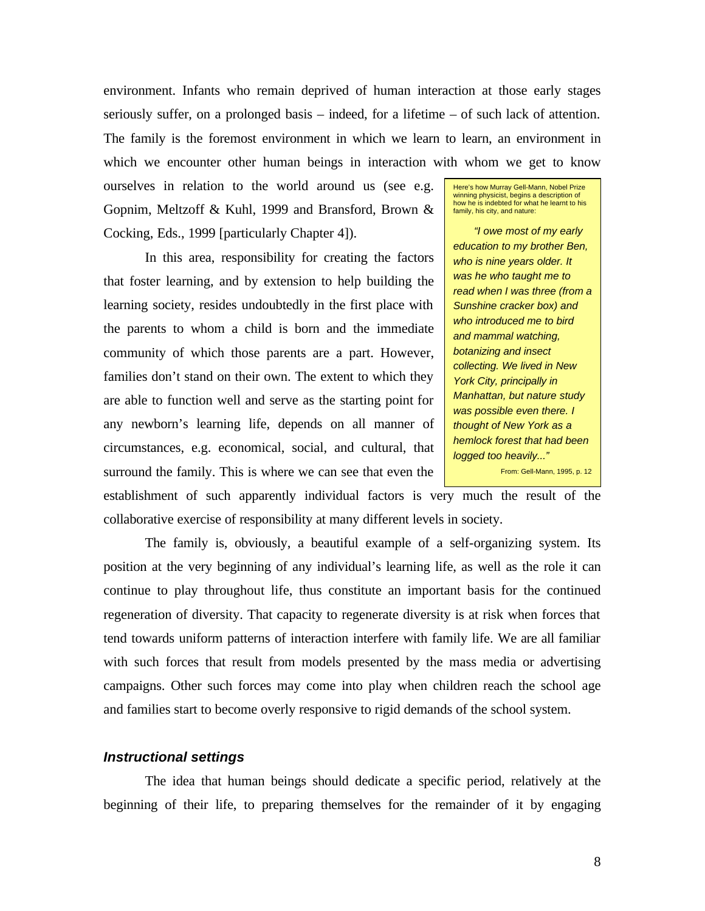environment. Infants who remain deprived of human interaction at those early stages seriously suffer, on a prolonged basis – indeed, for a lifetime – of such lack of attention. The family is the foremost environment in which we learn to learn, an environment in which we encounter other human beings in interaction with whom we get to know

ourselves in relation to the world around us (see e.g. Gopnim, Meltzoff & Kuhl, 1999 and Bransford, Brown & Cocking, Eds., 1999 [particularly Chapter 4]).

In this area, responsibility for creating the factors that foster learning, and by extension to help building the learning society, resides undoubtedly in the first place with the parents to whom a child is born and the immediate community of which those parents are a part. However, families don't stand on their own. The extent to which they are able to function well and serve as the starting point for any newborn's learning life, depends on all manner of circumstances, e.g. economical, social, and cultural, that surround the family. This is where we can see that even the

Here's how Murray Gell-Mann, Nobel Prize winning physicist, begins a description of how he is indebted for what he learnt to his family, his city, and nature:

*"I owe most of my early education to my brother Ben, who is nine years older. It was he who taught me to read when I was three (from a Sunshine cracker box) and who introduced me to bird and mammal watching, botanizing and insect collecting. We lived in New York City, principally in Manhattan, but nature study was possible even there. I thought of New York as a hemlock forest that had been logged too heavily..."* From: Gell-Mann, 1995, p. 12

establishment of such apparently individual factors is very much the result of the collaborative exercise of responsibility at many different levels in society.

The family is, obviously, a beautiful example of a self-organizing system. Its position at the very beginning of any individual's learning life, as well as the role it can continue to play throughout life, thus constitute an important basis for the continued regeneration of diversity. That capacity to regenerate diversity is at risk when forces that tend towards uniform patterns of interaction interfere with family life. We are all familiar with such forces that result from models presented by the mass media or advertising campaigns. Other such forces may come into play when children reach the school age and families start to become overly responsive to rigid demands of the school system.

### *Instructional settings*

The idea that human beings should dedicate a specific period, relatively at the beginning of their life, to preparing themselves for the remainder of it by engaging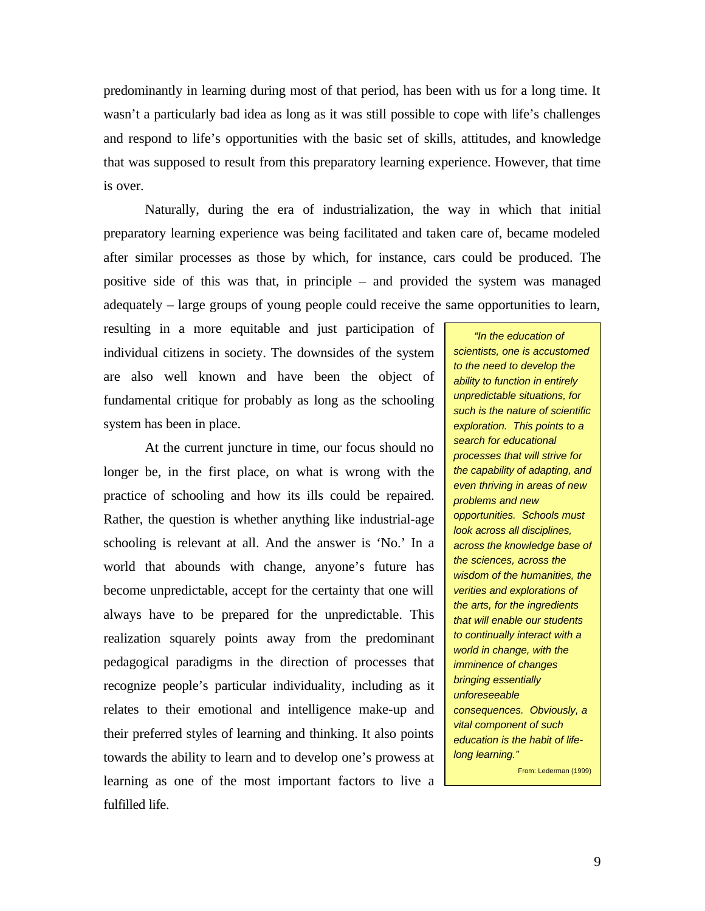predominantly in learning during most of that period, has been with us for a long time. It wasn't a particularly bad idea as long as it was still possible to cope with life's challenges and respond to life's opportunities with the basic set of skills, attitudes, and knowledge that was supposed to result from this preparatory learning experience. However, that time is over.

Naturally, during the era of industrialization, the way in which that initial preparatory learning experience was being facilitated and taken care of, became modeled after similar processes as those by which, for instance, cars could be produced. The positive side of this was that, in principle – and provided the system was managed adequately – large groups of young people could receive the same opportunities to learn,

resulting in a more equitable and just participation of individual citizens in society. The downsides of the system are also well known and have been the object of fundamental critique for probably as long as the schooling system has been in place.

At the current juncture in time, our focus should no longer be, in the first place, on what is wrong with the practice of schooling and how its ills could be repaired. Rather, the question is whether anything like industrial-age schooling is relevant at all. And the answer is 'No.' In a world that abounds with change, anyone's future has become unpredictable, accept for the certainty that one will always have to be prepared for the unpredictable. This realization squarely points away from the predominant pedagogical paradigms in the direction of processes that recognize people's particular individuality, including as it relates to their emotional and intelligence make-up and their preferred styles of learning and thinking. It also points towards the ability to learn and to develop one's prowess at learning as one of the most important factors to live a fulfilled life.

*"In the education of scientists, one is accustomed to the need to develop the ability to function in entirely unpredictable situations, for such is the nature of scientific exploration. This points to a search for educational processes that will strive for the capability of adapting, and even thriving in areas of new problems and new opportunities. Schools must look across all disciplines, across the knowledge base of the sciences, across the wisdom of the humanities, the verities and explorations of the arts, for the ingredients that will enable our students to continually interact with a world in change, with the imminence of changes bringing essentially unforeseeable consequences. Obviously, a vital component of such education is the habit of lifelong learning."* From: Lederman (1999)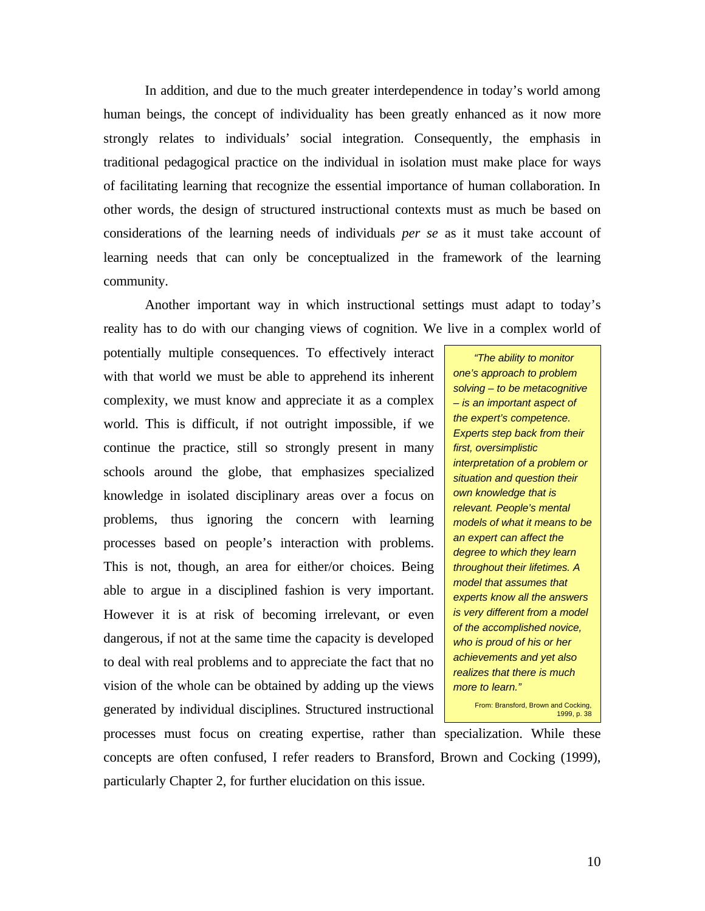In addition, and due to the much greater interdependence in today's world among human beings, the concept of individuality has been greatly enhanced as it now more strongly relates to individuals' social integration. Consequently, the emphasis in traditional pedagogical practice on the individual in isolation must make place for ways of facilitating learning that recognize the essential importance of human collaboration. In other words, the design of structured instructional contexts must as much be based on considerations of the learning needs of individuals *per se* as it must take account of learning needs that can only be conceptualized in the framework of the learning community.

Another important way in which instructional settings must adapt to today's reality has to do with our changing views of cognition. We live in a complex world of

potentially multiple consequences. To effectively interact with that world we must be able to apprehend its inherent complexity, we must know and appreciate it as a complex world. This is difficult, if not outright impossible, if we continue the practice, still so strongly present in many schools around the globe, that emphasizes specialized knowledge in isolated disciplinary areas over a focus on problems, thus ignoring the concern with learning processes based on people's interaction with problems. This is not, though, an area for either/or choices. Being able to argue in a disciplined fashion is very important. However it is at risk of becoming irrelevant, or even dangerous, if not at the same time the capacity is developed to deal with real problems and to appreciate the fact that no vision of the whole can be obtained by adding up the views generated by individual disciplines. Structured instructional

*"The ability to monitor one's approach to problem solving – to be metacognitive – is an important aspect of the expert's competence. Experts step back from their first, oversimplistic interpretation of a problem or situation and question their own knowledge that is relevant. People's mental models of what it means to be an expert can affect the degree to which they learn throughout their lifetimes. A model that assumes that experts know all the answers is very different from a model of the accomplished novice, who is proud of his or her achievements and yet also realizes that there is much more to learn."*

From: Bransford, Brown and Cocking, 1999, p. 38

processes must focus on creating expertise, rather than specialization. While these concepts are often confused, I refer readers to Bransford, Brown and Cocking (1999), particularly Chapter 2, for further elucidation on this issue.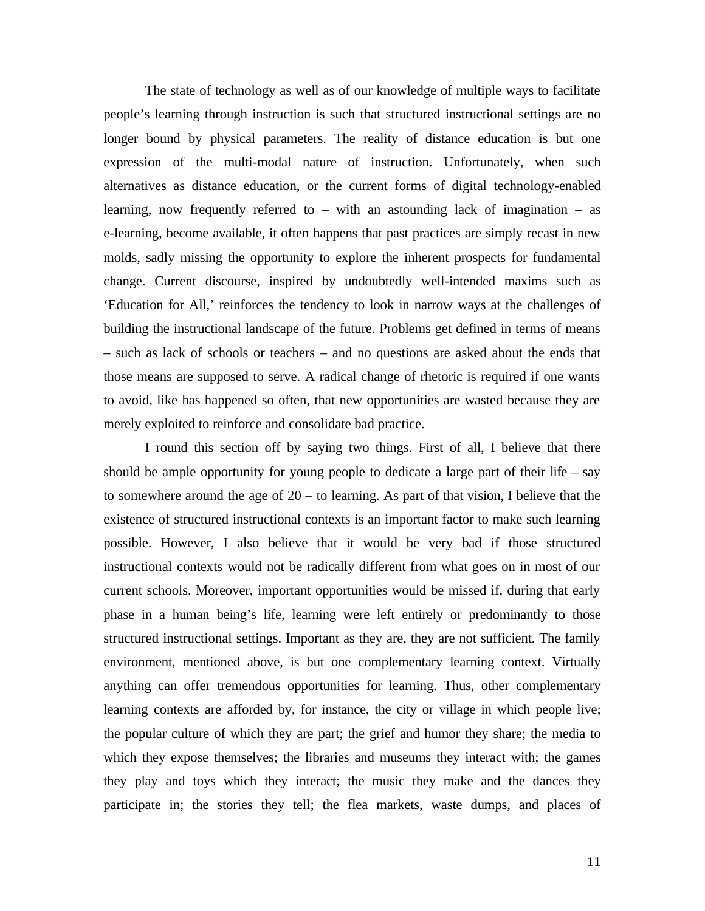The state of technology as well as of our knowledge of multiple ways to facilitate people's learning through instruction is such that structured instructional settings are no longer bound by physical parameters. The reality of distance education is but one expression of the multi-modal nature of instruction. Unfortunately, when such alternatives as distance education, or the current forms of digital technology-enabled learning, now frequently referred to – with an astounding lack of imagination – as e-learning, become available, it often happens that past practices are simply recast in new molds, sadly missing the opportunity to explore the inherent prospects for fundamental change. Current discourse, inspired by undoubtedly well-intended maxims such as 'Education for All,' reinforces the tendency to look in narrow ways at the challenges of building the instructional landscape of the future. Problems get defined in terms of means – such as lack of schools or teachers – and no questions are asked about the ends that those means are supposed to serve. A radical change of rhetoric is required if one wants to avoid, like has happened so often, that new opportunities are wasted because they are merely exploited to reinforce and consolidate bad practice.

I round this section off by saying two things. First of all, I believe that there should be ample opportunity for young people to dedicate a large part of their life – say to somewhere around the age of  $20 -$  to learning. As part of that vision, I believe that the existence of structured instructional contexts is an important factor to make such learning possible. However, I also believe that it would be very bad if those structured instructional contexts would not be radically different from what goes on in most of our current schools. Moreover, important opportunities would be missed if, during that early phase in a human being's life, learning were left entirely or predominantly to those structured instructional settings. Important as they are, they are not sufficient. The family environment, mentioned above, is but one complementary learning context. Virtually anything can offer tremendous opportunities for learning. Thus, other complementary learning contexts are afforded by, for instance, the city or village in which people live; the popular culture of which they are part; the grief and humor they share; the media to which they expose themselves; the libraries and museums they interact with; the games they play and toys which they interact; the music they make and the dances they participate in; the stories they tell; the flea markets, waste dumps, and places of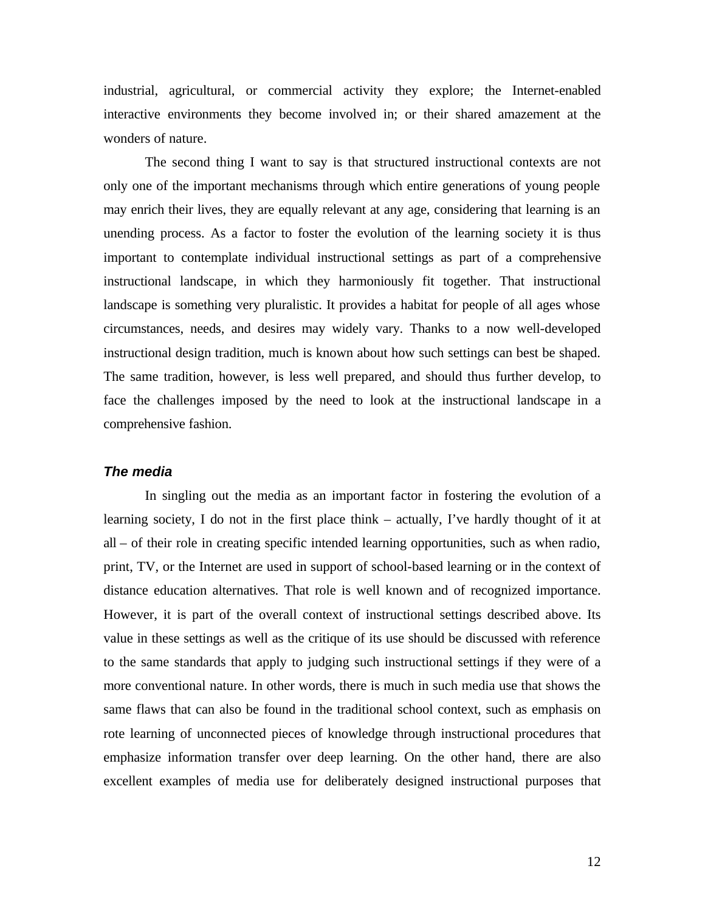industrial, agricultural, or commercial activity they explore; the Internet-enabled interactive environments they become involved in; or their shared amazement at the wonders of nature.

The second thing I want to say is that structured instructional contexts are not only one of the important mechanisms through which entire generations of young people may enrich their lives, they are equally relevant at any age, considering that learning is an unending process. As a factor to foster the evolution of the learning society it is thus important to contemplate individual instructional settings as part of a comprehensive instructional landscape, in which they harmoniously fit together. That instructional landscape is something very pluralistic. It provides a habitat for people of all ages whose circumstances, needs, and desires may widely vary. Thanks to a now well-developed instructional design tradition, much is known about how such settings can best be shaped. The same tradition, however, is less well prepared, and should thus further develop, to face the challenges imposed by the need to look at the instructional landscape in a comprehensive fashion.

# *The media*

In singling out the media as an important factor in fostering the evolution of a learning society, I do not in the first place think – actually, I've hardly thought of it at all – of their role in creating specific intended learning opportunities, such as when radio, print, TV, or the Internet are used in support of school-based learning or in the context of distance education alternatives. That role is well known and of recognized importance. However, it is part of the overall context of instructional settings described above. Its value in these settings as well as the critique of its use should be discussed with reference to the same standards that apply to judging such instructional settings if they were of a more conventional nature. In other words, there is much in such media use that shows the same flaws that can also be found in the traditional school context, such as emphasis on rote learning of unconnected pieces of knowledge through instructional procedures that emphasize information transfer over deep learning. On the other hand, there are also excellent examples of media use for deliberately designed instructional purposes that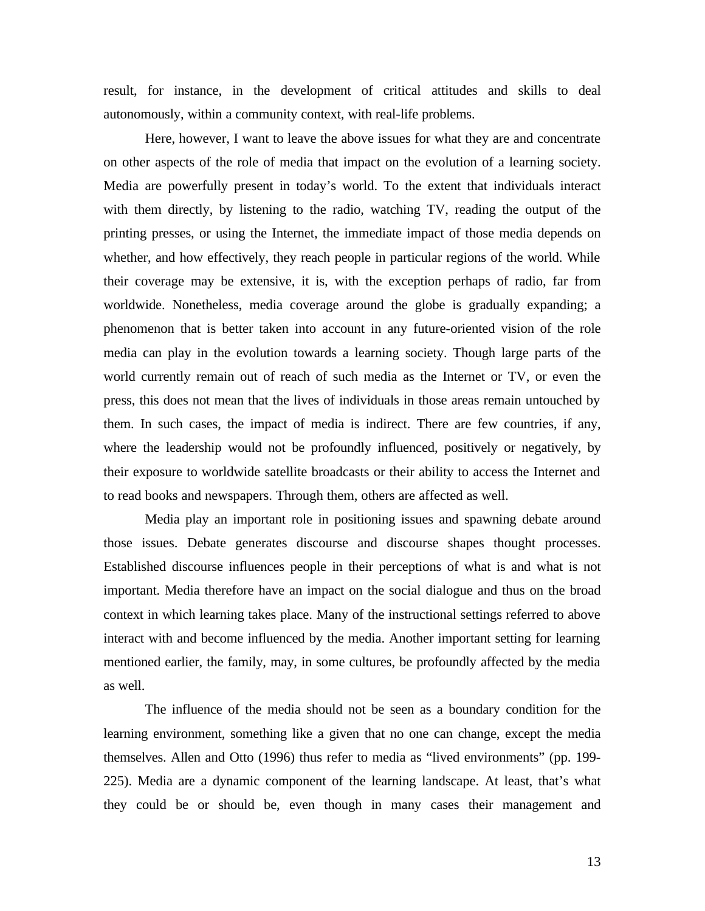result, for instance, in the development of critical attitudes and skills to deal autonomously, within a community context, with real-life problems.

Here, however, I want to leave the above issues for what they are and concentrate on other aspects of the role of media that impact on the evolution of a learning society. Media are powerfully present in today's world. To the extent that individuals interact with them directly, by listening to the radio, watching TV, reading the output of the printing presses, or using the Internet, the immediate impact of those media depends on whether, and how effectively, they reach people in particular regions of the world. While their coverage may be extensive, it is, with the exception perhaps of radio, far from worldwide. Nonetheless, media coverage around the globe is gradually expanding; a phenomenon that is better taken into account in any future-oriented vision of the role media can play in the evolution towards a learning society. Though large parts of the world currently remain out of reach of such media as the Internet or TV, or even the press, this does not mean that the lives of individuals in those areas remain untouched by them. In such cases, the impact of media is indirect. There are few countries, if any, where the leadership would not be profoundly influenced, positively or negatively, by their exposure to worldwide satellite broadcasts or their ability to access the Internet and to read books and newspapers. Through them, others are affected as well.

Media play an important role in positioning issues and spawning debate around those issues. Debate generates discourse and discourse shapes thought processes. Established discourse influences people in their perceptions of what is and what is not important. Media therefore have an impact on the social dialogue and thus on the broad context in which learning takes place. Many of the instructional settings referred to above interact with and become influenced by the media. Another important setting for learning mentioned earlier, the family, may, in some cultures, be profoundly affected by the media as well.

The influence of the media should not be seen as a boundary condition for the learning environment, something like a given that no one can change, except the media themselves. Allen and Otto (1996) thus refer to media as "lived environments" (pp. 199- 225). Media are a dynamic component of the learning landscape. At least, that's what they could be or should be, even though in many cases their management and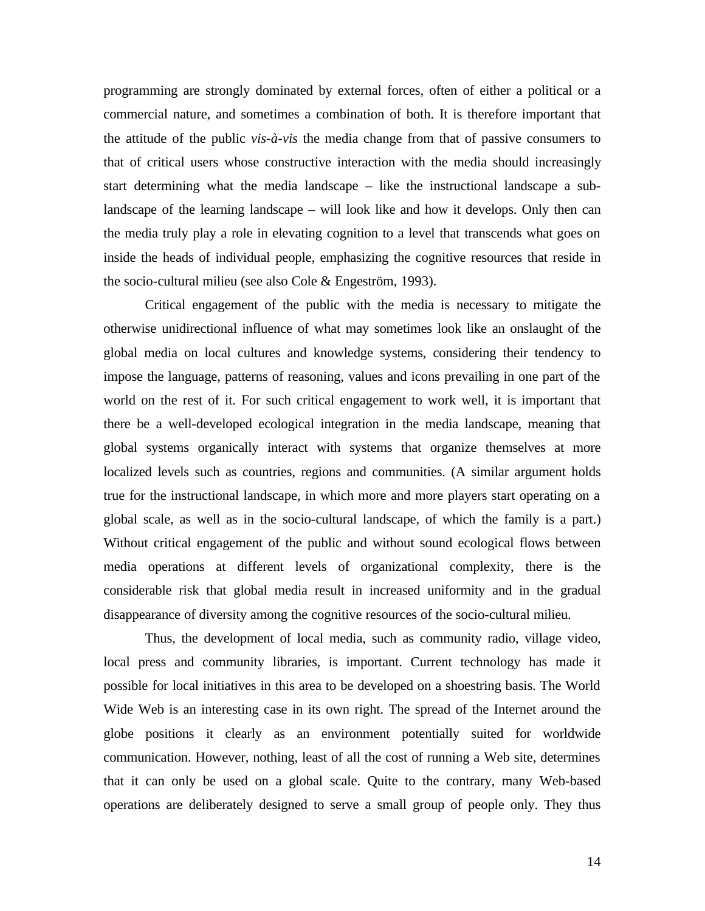programming are strongly dominated by external forces, often of either a political or a commercial nature, and sometimes a combination of both. It is therefore important that the attitude of the public *vis-à-vis* the media change from that of passive consumers to that of critical users whose constructive interaction with the media should increasingly start determining what the media landscape – like the instructional landscape a sublandscape of the learning landscape – will look like and how it develops. Only then can the media truly play a role in elevating cognition to a level that transcends what goes on inside the heads of individual people, emphasizing the cognitive resources that reside in the socio-cultural milieu (see also Cole & Engeström, 1993).

Critical engagement of the public with the media is necessary to mitigate the otherwise unidirectional influence of what may sometimes look like an onslaught of the global media on local cultures and knowledge systems, considering their tendency to impose the language, patterns of reasoning, values and icons prevailing in one part of the world on the rest of it. For such critical engagement to work well, it is important that there be a well-developed ecological integration in the media landscape, meaning that global systems organically interact with systems that organize themselves at more localized levels such as countries, regions and communities. (A similar argument holds true for the instructional landscape, in which more and more players start operating on a global scale, as well as in the socio-cultural landscape, of which the family is a part.) Without critical engagement of the public and without sound ecological flows between media operations at different levels of organizational complexity, there is the considerable risk that global media result in increased uniformity and in the gradual disappearance of diversity among the cognitive resources of the socio-cultural milieu.

Thus, the development of local media, such as community radio, village video, local press and community libraries, is important. Current technology has made it possible for local initiatives in this area to be developed on a shoestring basis. The World Wide Web is an interesting case in its own right. The spread of the Internet around the globe positions it clearly as an environment potentially suited for worldwide communication. However, nothing, least of all the cost of running a Web site, determines that it can only be used on a global scale. Quite to the contrary, many Web-based operations are deliberately designed to serve a small group of people only. They thus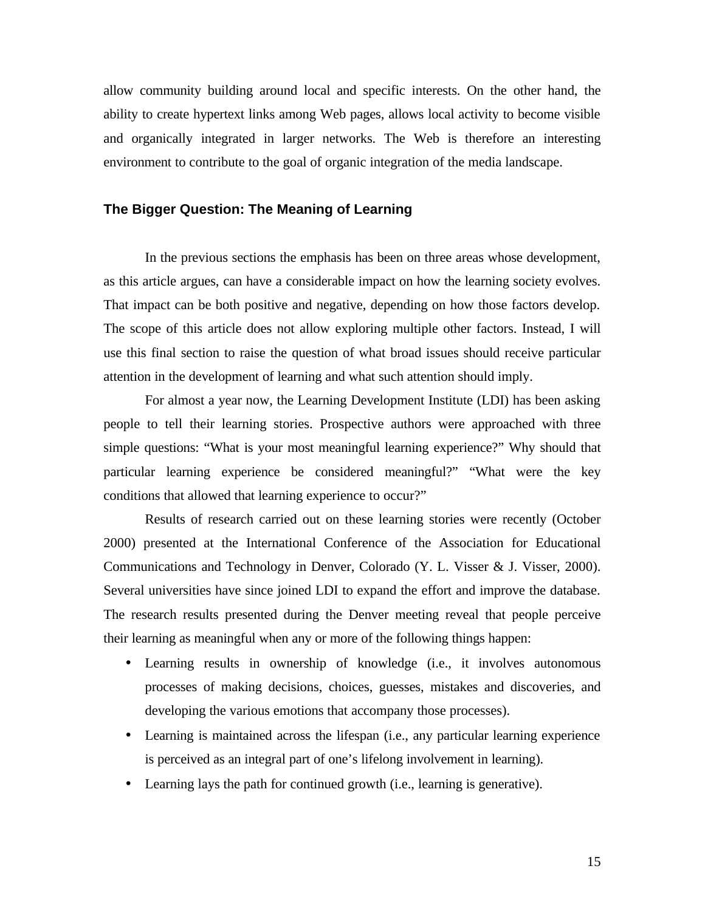allow community building around local and specific interests. On the other hand, the ability to create hypertext links among Web pages, allows local activity to become visible and organically integrated in larger networks. The Web is therefore an interesting environment to contribute to the goal of organic integration of the media landscape.

# **The Bigger Question: The Meaning of Learning**

In the previous sections the emphasis has been on three areas whose development, as this article argues, can have a considerable impact on how the learning society evolves. That impact can be both positive and negative, depending on how those factors develop. The scope of this article does not allow exploring multiple other factors. Instead, I will use this final section to raise the question of what broad issues should receive particular attention in the development of learning and what such attention should imply.

For almost a year now, the Learning Development Institute (LDI) has been asking people to tell their learning stories. Prospective authors were approached with three simple questions: "What is your most meaningful learning experience?" Why should that particular learning experience be considered meaningful?" "What were the key conditions that allowed that learning experience to occur?"

Results of research carried out on these learning stories were recently (October 2000) presented at the International Conference of the Association for Educational Communications and Technology in Denver, Colorado (Y. L. Visser & J. Visser, 2000). Several universities have since joined LDI to expand the effort and improve the database. The research results presented during the Denver meeting reveal that people perceive their learning as meaningful when any or more of the following things happen:

- Learning results in ownership of knowledge (i.e., it involves autonomous processes of making decisions, choices, guesses, mistakes and discoveries, and developing the various emotions that accompany those processes).
- Learning is maintained across the lifespan (i.e., any particular learning experience is perceived as an integral part of one's lifelong involvement in learning).
- Learning lays the path for continued growth (i.e., learning is generative).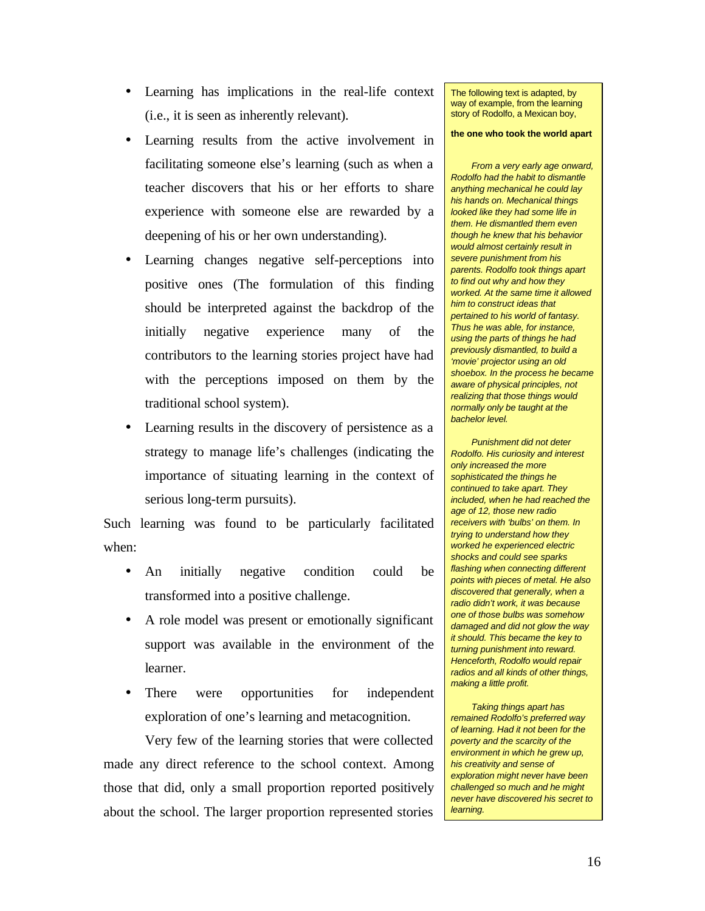- Learning has implications in the real-life context (i.e., it is seen as inherently relevant).
- Learning results from the active involvement in facilitating someone else's learning (such as when a teacher discovers that his or her efforts to share experience with someone else are rewarded by a deepening of his or her own understanding).
- Learning changes negative self-perceptions into positive ones (The formulation of this finding should be interpreted against the backdrop of the initially negative experience many of the contributors to the learning stories project have had with the perceptions imposed on them by the traditional school system).
- Learning results in the discovery of persistence as a strategy to manage life's challenges (indicating the importance of situating learning in the context of serious long-term pursuits).

Such learning was found to be particularly facilitated when:

- An initially negative condition could be transformed into a positive challenge.
- A role model was present or emotionally significant support was available in the environment of the learner.
- There were opportunities for independent exploration of one's learning and metacognition.

Very few of the learning stories that were collected made any direct reference to the school context. Among those that did, only a small proportion reported positively about the school. The larger proportion represented stories The following text is adapted, by way of example, from the learning story of Rodolfo, a Mexican boy,

#### **the one who took the world apart**

*From a very early age onward, Rodolfo had the habit to dismantle anything mechanical he could lay his hands on. Mechanical things looked like they had some life in them. He dismantled them even though he knew that his behavior would almost certainly result in severe punishment from his parents. Rodolfo took things apart to find out why and how they worked. At the same time it allowed him to construct ideas that pertained to his world of fantasy. Thus he was able, for instance, using the parts of things he had previously dismantled, to build a 'movie' projector using an old shoebox. In the process he became aware of physical principles, not realizing that those things would normally only be taught at the bachelor level.*

*Punishment did not deter Rodolfo. His curiosity and interest only increased the more sophisticated the things he continued to take apart. They included, when he had reached the age of 12, those new radio receivers with 'bulbs' on them. In trying to understand how they worked he experienced electric shocks and could see sparks flashing when connecting different points with pieces of metal. He also discovered that generally, when a radio didn't work, it was because one of those bulbs was somehow damaged and did not glow the way it should. This became the key to turning punishment into reward. Henceforth, Rodolfo would repair radios and all kinds of other things, making a little profit.*

*Taking things apart has remained Rodolfo's preferred way of learning. Had it not been for the poverty and the scarcity of the environment in which he grew up, his creativity and sense of exploration might never have been challenged so much and he might never have discovered his secret to learning.*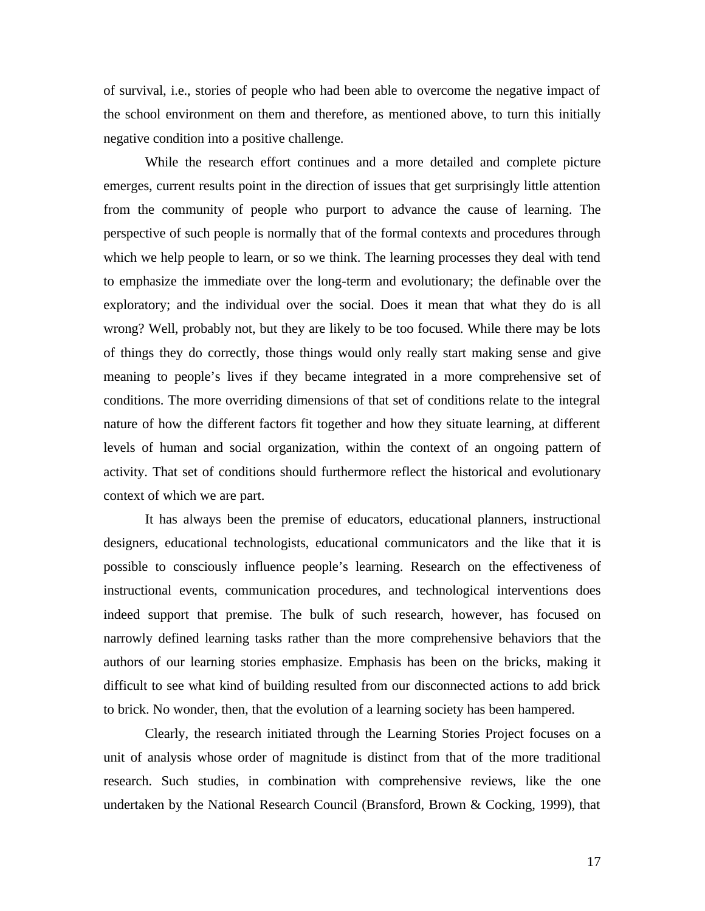of survival, i.e., stories of people who had been able to overcome the negative impact of the school environment on them and therefore, as mentioned above, to turn this initially negative condition into a positive challenge.

While the research effort continues and a more detailed and complete picture emerges, current results point in the direction of issues that get surprisingly little attention from the community of people who purport to advance the cause of learning. The perspective of such people is normally that of the formal contexts and procedures through which we help people to learn, or so we think. The learning processes they deal with tend to emphasize the immediate over the long-term and evolutionary; the definable over the exploratory; and the individual over the social. Does it mean that what they do is all wrong? Well, probably not, but they are likely to be too focused. While there may be lots of things they do correctly, those things would only really start making sense and give meaning to people's lives if they became integrated in a more comprehensive set of conditions. The more overriding dimensions of that set of conditions relate to the integral nature of how the different factors fit together and how they situate learning, at different levels of human and social organization, within the context of an ongoing pattern of activity. That set of conditions should furthermore reflect the historical and evolutionary context of which we are part.

It has always been the premise of educators, educational planners, instructional designers, educational technologists, educational communicators and the like that it is possible to consciously influence people's learning. Research on the effectiveness of instructional events, communication procedures, and technological interventions does indeed support that premise. The bulk of such research, however, has focused on narrowly defined learning tasks rather than the more comprehensive behaviors that the authors of our learning stories emphasize. Emphasis has been on the bricks, making it difficult to see what kind of building resulted from our disconnected actions to add brick to brick. No wonder, then, that the evolution of a learning society has been hampered.

Clearly, the research initiated through the Learning Stories Project focuses on a unit of analysis whose order of magnitude is distinct from that of the more traditional research. Such studies, in combination with comprehensive reviews, like the one undertaken by the National Research Council (Bransford, Brown & Cocking, 1999), that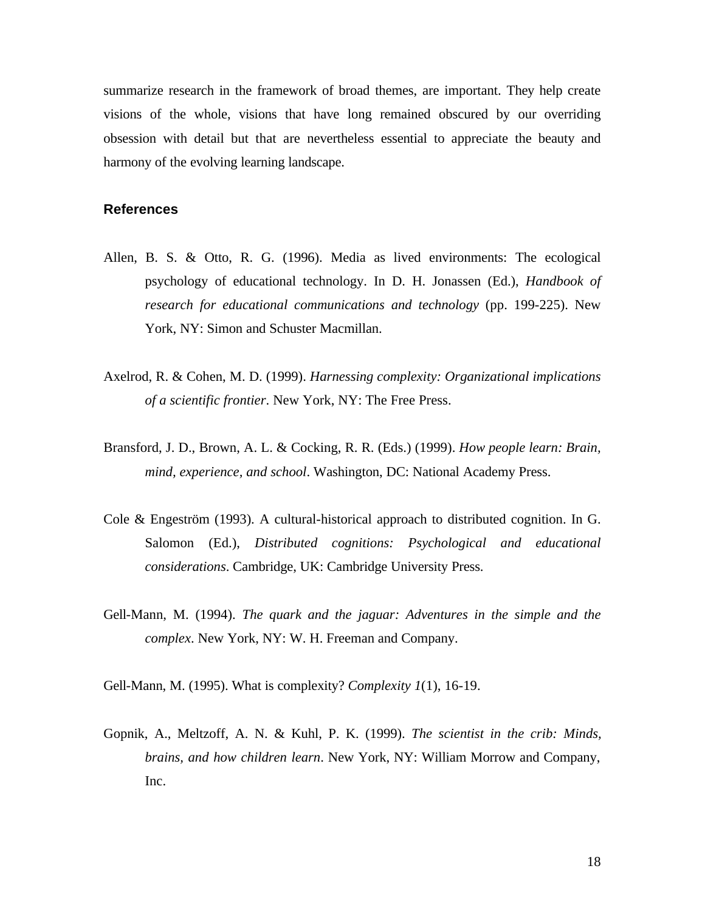summarize research in the framework of broad themes, are important. They help create visions of the whole, visions that have long remained obscured by our overriding obsession with detail but that are nevertheless essential to appreciate the beauty and harmony of the evolving learning landscape.

# **References**

- Allen, B. S. & Otto, R. G. (1996). Media as lived environments: The ecological psychology of educational technology. In D. H. Jonassen (Ed.), *Handbook of research for educational communications and technology* (pp. 199-225). New York, NY: Simon and Schuster Macmillan.
- Axelrod, R. & Cohen, M. D. (1999). *Harnessing complexity: Organizational implications of a scientific frontier*. New York, NY: The Free Press.
- Bransford, J. D., Brown, A. L. & Cocking, R. R. (Eds.) (1999). *How people learn: Brain, mind, experience, and school*. Washington, DC: National Academy Press.
- Cole & Engeström (1993). A cultural-historical approach to distributed cognition. In G. Salomon (Ed.), *Distributed cognitions: Psychological and educational considerations*. Cambridge, UK: Cambridge University Press.
- Gell-Mann, M. (1994). *The quark and the jaguar: Adventures in the simple and the complex*. New York, NY: W. H. Freeman and Company.

Gell-Mann, M. (1995). What is complexity? *Complexity 1*(1), 16-19.

Gopnik, A., Meltzoff, A. N. & Kuhl, P. K. (1999). *The scientist in the crib: Minds, brains, and how children learn*. New York, NY: William Morrow and Company, Inc.